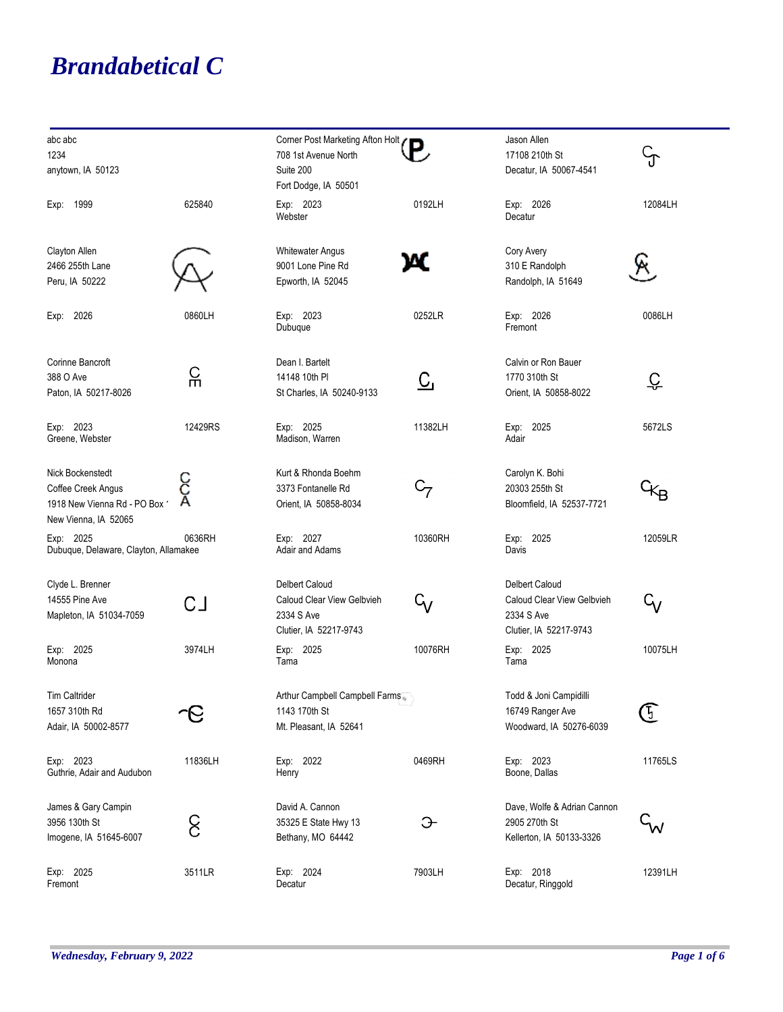## *Brandabetical C*

| abc abc<br>1234<br>anytown, IA 50123                                                          |         | Corner Post Marketing Afton Holt (<br>708 1st Avenue North<br>Suite 200<br>Fort Dodge, IA 50501 |           | Jason Allen<br>17108 210th St<br>Decatur, IA 50067-4541                                     | ြ         |
|-----------------------------------------------------------------------------------------------|---------|-------------------------------------------------------------------------------------------------|-----------|---------------------------------------------------------------------------------------------|-----------|
| 1999<br>Exp:                                                                                  | 625840  | Exp: 2023<br>Webster                                                                            | 0192LH    | Exp: 2026<br>Decatur                                                                        | 12084LH   |
| Clayton Allen<br>2466 255th Lane<br>Peru, IA 50222                                            |         | <b>Whitewater Angus</b><br>9001 Lone Pine Rd<br>Epworth, IA 52045                               | ж         | Cory Avery<br>310 E Randolph<br>Randolph, IA 51649                                          | Κ         |
| Exp: 2026                                                                                     | 0860LH  | Exp: 2023<br>Dubuque                                                                            | 0252LR    | Exp: 2026<br>Fremont                                                                        | 0086LH    |
| Corinne Bancroft<br>388 O Ave<br>Paton, IA 50217-8026                                         | 유       | Dean I. Bartelt<br>14148 10th PI<br>St Charles, IA 50240-9133                                   | <u>C,</u> | Calvin or Ron Bauer<br>1770 310th St<br>Orient, IA 50858-8022                               | <u>င္</u> |
| Exp: 2023<br>Greene, Webster                                                                  | 12429RS | Exp: 2025<br>Madison, Warren                                                                    | 11382LH   | Exp: 2025<br>Adair                                                                          | 5672LS    |
| Nick Bockenstedt<br>Coffee Creek Angus<br>1918 New Vienna Rd - PO Box<br>New Vienna, IA 52065 |         | Kurt & Rhonda Boehm<br>3373 Fontanelle Rd<br>Orient, IA 50858-8034                              | $C_7$     | Carolyn K. Bohi<br>20303 255th St<br>Bloomfield, IA 52537-7721                              | ᢥᡃ        |
| Exp: 2025<br>Dubuque, Delaware, Clayton, Allamakee                                            | 0636RH  | Exp: 2027<br>Adair and Adams                                                                    | 10360RH   | Exp: 2025<br>Davis                                                                          | 12059LR   |
| Clyde L. Brenner<br>14555 Pine Ave<br>Mapleton, IA 51034-7059                                 | СJ      | Delbert Caloud<br>Caloud Clear View Gelbvieh<br>2334 S Ave<br>Clutier, IA 52217-9743            | $G_V$     | <b>Delbert Caloud</b><br>Caloud Clear View Gelbvieh<br>2334 S Ave<br>Clutier, IA 52217-9743 | $G_V$     |
| Exp: 2025<br>Monona                                                                           | 3974LH  | Exp: 2025<br>Tama                                                                               | 10076RH   | Exp: 2025<br>Tama                                                                           | 10075LH   |
| Tim Caltrider<br>1657 310th Rd<br>Adair, IA 50002-8577                                        |         | Arthur Campbell Campbell Farms<br>1143 170th St<br>Mt. Pleasant, IA 52641                       |           | Todd & Joni Campidilli<br>16749 Ranger Ave<br>Woodward, IA 50276-6039                       | T         |
| Exp: 2023<br>Guthrie, Adair and Audubon                                                       | 11836LH | Exp: 2022<br>Henry                                                                              | 0469RH    | Exp: 2023<br>Boone, Dallas                                                                  | 11765LS   |
| James & Gary Campin<br>3956 130th St<br>Imogene, IA 51645-6007                                | င်      | David A. Cannon<br>35325 E State Hwy 13<br>Bethany, MO 64442                                    | Э         | Dave, Wolfe & Adrian Cannon<br>2905 270th St<br>Kellerton, IA 50133-3326                    | W         |
| Exp: 2025<br>Fremont                                                                          | 3511LR  | Exp: 2024<br>Decatur                                                                            | 7903LH    | Exp: 2018<br>Decatur, Ringgold                                                              | 12391LH   |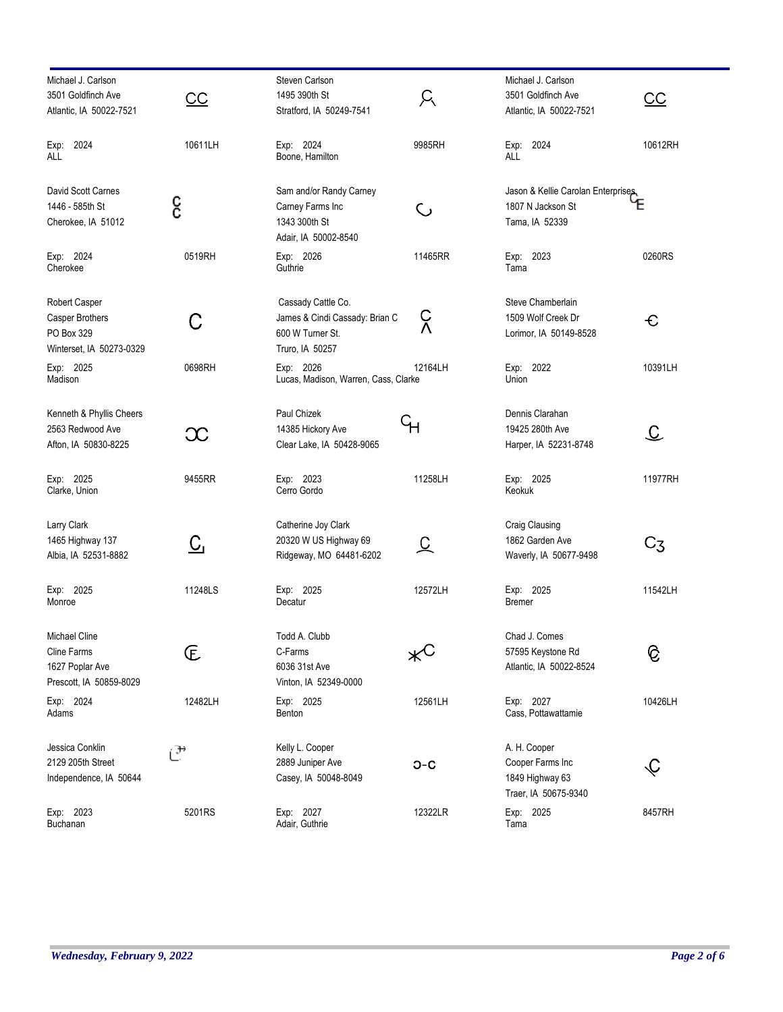| Michael J. Carlson<br>3501 Goldfinch Ave<br>Atlantic, IA 50022-7521        | <u>CC</u> | Steven Carlson<br>1495 390th St<br>Stratford, IA 50249-7541                                 | A          | Michael J. Carlson<br>3501 Goldfinch Ave<br>Atlantic, IA 50022-7521         | $\underline{\mathsf{CC}}$          |
|----------------------------------------------------------------------------|-----------|---------------------------------------------------------------------------------------------|------------|-----------------------------------------------------------------------------|------------------------------------|
| Exp: 2024<br>ALL                                                           | 10611LH   | Exp: 2024<br>Boone, Hamilton                                                                | 9985RH     | Exp: 2024<br>ALL                                                            | 10612RH                            |
| David Scott Carnes<br>1446 - 585th St<br>Cherokee, IA 51012                | ငွ        | Sam and/or Randy Carney<br>Carney Farms Inc<br>1343 300th St<br>Adair, IA 50002-8540        | C          | Jason & Kellie Carolan Enterprises,<br>1807 N Jackson St<br>Tama, IA 52339  | E                                  |
| Exp: 2024<br>Cherokee                                                      | 0519RH    | Exp: 2026<br>Guthrie                                                                        | 11465RR    | Exp: 2023<br>Tama                                                           | 0260RS                             |
| Robert Casper<br>Casper Brothers<br>PO Box 329<br>Winterset, IA 50273-0329 | С         | Cassady Cattle Co.<br>James & Cindi Cassady: Brian C<br>600 W Turner St.<br>Truro, IA 50257 | င်<br>V    | Steve Chamberlain<br>1509 Wolf Creek Dr<br>Lorimor, IA 50149-8528           | C                                  |
| Exp: 2025<br>Madison                                                       | 0698RH    | Exp: 2026<br>Lucas, Madison, Warren, Cass, Clarke                                           | 12164LH    | Exp: 2022<br>Union                                                          | 10391LH                            |
| Kenneth & Phyllis Cheers<br>2563 Redwood Ave<br>Afton, IA 50830-8225       | $\infty$  | Paul Chizek<br>14385 Hickory Ave<br>Clear Lake, IA 50428-9065                               | Ч۳         | Dennis Clarahan<br>19425 280th Ave<br>Harper, IA 52231-8748                 | $\mathfrak{C}% _{A}^{\alpha\beta}$ |
| Exp: 2025<br>Clarke, Union                                                 | 9455RR    | Exp: 2023<br>Cerro Gordo                                                                    | 11258LH    | Exp: 2025<br>Keokuk                                                         | 11977RH                            |
| Larry Clark<br>1465 Highway 137<br>Albia, IA 52531-8882                    | <u>င</u>  | Catherine Joy Clark<br>20320 W US Highway 69<br>Ridgeway, MO 64481-6202                     | 오          | Craig Clausing<br>1862 Garden Ave<br>Waverly, IA 50677-9498                 | C3                                 |
| Exp: 2025<br>Monroe                                                        | 11248LS   | Exp: 2025<br>Decatur                                                                        | 12572LH    | Exp: 2025<br>Bremer                                                         | 11542LH                            |
| Michael Cline<br>Cline Farms<br>1627 Poplar Ave<br>Prescott, IA 50859-8029 | E         | Todd A. Clubb<br>C-Farms<br>6036 31st Ave<br>Vinton, IA 52349-0000                          | $\times^C$ | Chad J. Comes<br>57595 Keystone Rd<br>Atlantic, IA 50022-8524               | ତି                                 |
| Exp: 2024<br>Adams                                                         | 12482LH   | Exp: 2025<br>Benton                                                                         | 12561LH    | Exp: 2027<br>Cass, Pottawattamie                                            | 10426LH                            |
| Jessica Conklin<br>2129 205th Street<br>Independence, IA 50644             | ⅇ         | Kelly L. Cooper<br>2889 Juniper Ave<br>Casey, IA 50048-8049                                 | $O-C$      | A. H. Cooper<br>Cooper Farms Inc<br>1849 Highway 63<br>Traer, IA 50675-9340 | $\bm{\mathcal{L}}$                 |
| Exp: 2023<br>Buchanan                                                      | 5201RS    | Exp: 2027<br>Adair, Guthrie                                                                 | 12322LR    | Exp: 2025<br>Tama                                                           | 8457RH                             |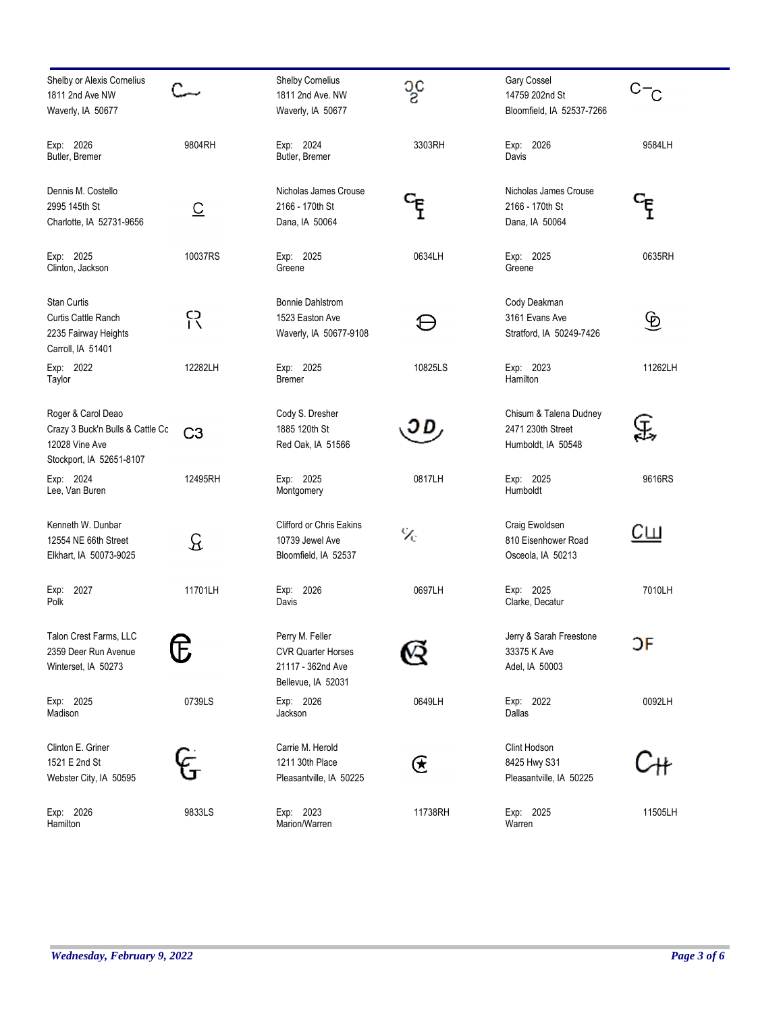| Shelby or Alexis Cornelius<br>1811 2nd Ave NW<br>Waverly, IA 50677                                          |                         | Shelby Cornelius<br>1811 2nd Ave. NW<br>Waverly, IA 50677                               | သွင                                                                                                                | Gary Cossel<br>14759 202nd St<br>Bloomfield, IA 52537-7266        | $C - C$   |
|-------------------------------------------------------------------------------------------------------------|-------------------------|-----------------------------------------------------------------------------------------|--------------------------------------------------------------------------------------------------------------------|-------------------------------------------------------------------|-----------|
| Exp: 2026<br>Butler, Bremer                                                                                 | 9804RH                  | Exp: 2024<br>Butler, Bremer                                                             | 3303RH                                                                                                             | Exp: 2026<br>Davis                                                | 9584LH    |
| Dennis M. Costello<br>2995 145th St<br>Charlotte, IA 52731-9656                                             | $\overline{\mathsf{C}}$ | Nicholas James Crouse<br>2166 - 170th St<br>Dana, IA 50064                              |                                                                                                                    | Nicholas James Crouse<br>2166 - 170th St<br>Dana, IA 50064        |           |
| Exp: 2025<br>Clinton, Jackson                                                                               | 10037RS                 | Exp: 2025<br>Greene                                                                     | 0634LH                                                                                                             | Exp: 2025<br>Greene                                               | 0635RH    |
| Stan Curtis<br>Curtis Cattle Ranch<br>2235 Fairway Heights<br>Carroll, IA 51401                             | ငု၃                     | <b>Bonnie Dahlstrom</b><br>1523 Easton Ave<br>Waverly, IA 50677-9108                    |                                                                                                                    | Cody Deakman<br>3161 Evans Ave<br>Stratford, IA 50249-7426        | ৩         |
| Exp: 2022<br>Taylor                                                                                         | 12282LH                 | Exp: 2025<br>Bremer                                                                     | 10825LS                                                                                                            | Exp: 2023<br>Hamilton                                             | 11262LH   |
| Roger & Carol Deao<br>Crazy 3 Buck'n Bulls & Cattle Cc<br><b>12028 Vine Ave</b><br>Stockport, IA 52651-8107 | C <sub>3</sub>          | Cody S. Dresher<br>1885 120th St<br>Red Oak, IA 51566                                   | IJD                                                                                                                | Chisum & Talena Dudney<br>2471 230th Street<br>Humboldt, IA 50548 | E,        |
| Exp: 2024<br>Lee, Van Buren                                                                                 | 12495RH                 | Exp: 2025<br>Montgomery                                                                 | 0817LH                                                                                                             | Exp: 2025<br>Humboldt                                             | 9616RS    |
| Kenneth W. Dunbar<br>12554 NE 66th Street<br>Elkhart, IA 50073-9025                                         | ୟ                       | <b>Clifford or Chris Eakins</b><br>10739 Jewel Ave<br>Bloomfield, IA 52537              | $\%$                                                                                                               | Craig Ewoldsen<br>810 Eisenhower Road<br>Osceola, IA 50213        | <u>Сш</u> |
| Exp: 2027<br>Polk                                                                                           | 11701LH                 | Exp: 2026<br>Davis                                                                      | 0697LH                                                                                                             | Exp: 2025<br>Clarke, Decatur                                      | 7010LH    |
| Talon Crest Farms, LLC<br>2359 Deer Run Avenue<br>Winterset, IA 50273                                       | Ê                       | Perry M. Feller<br><b>CVR Quarter Horses</b><br>21117 - 362nd Ave<br>Bellevue, IA 52031 |                                                                                                                    | Jerry & Sarah Freestone<br>33375 K Ave<br>Adel, IA 50003          | ЭF        |
| Exp: 2025<br>Madison                                                                                        | 0739LS                  | Exp: 2026<br>Jackson                                                                    | 0649LH                                                                                                             | Exp: 2022<br>Dallas                                               | 0092LH    |
| Clinton E. Griner<br>1521 E 2nd St<br>Webster City, IA 50595                                                |                         | Carrie M. Herold<br>1211 30th Place<br>Pleasantville, IA 50225                          | $\mathfrak{E}% _{T}=\mathfrak{E}_{T}\!\left( a,b\right) ,\ \mathfrak{E}_{T}=\mathfrak{E}_{T}\!\left( a,b\right) ,$ | Clint Hodson<br>8425 Hwy S31<br>Pleasantville, IA 50225           |           |
| Exp: 2026<br>Hamilton                                                                                       | 9833LS                  | Exp: 2023<br>Marion/Warren                                                              | 11738RH                                                                                                            | Exp: 2025<br>Warren                                               | 11505LH   |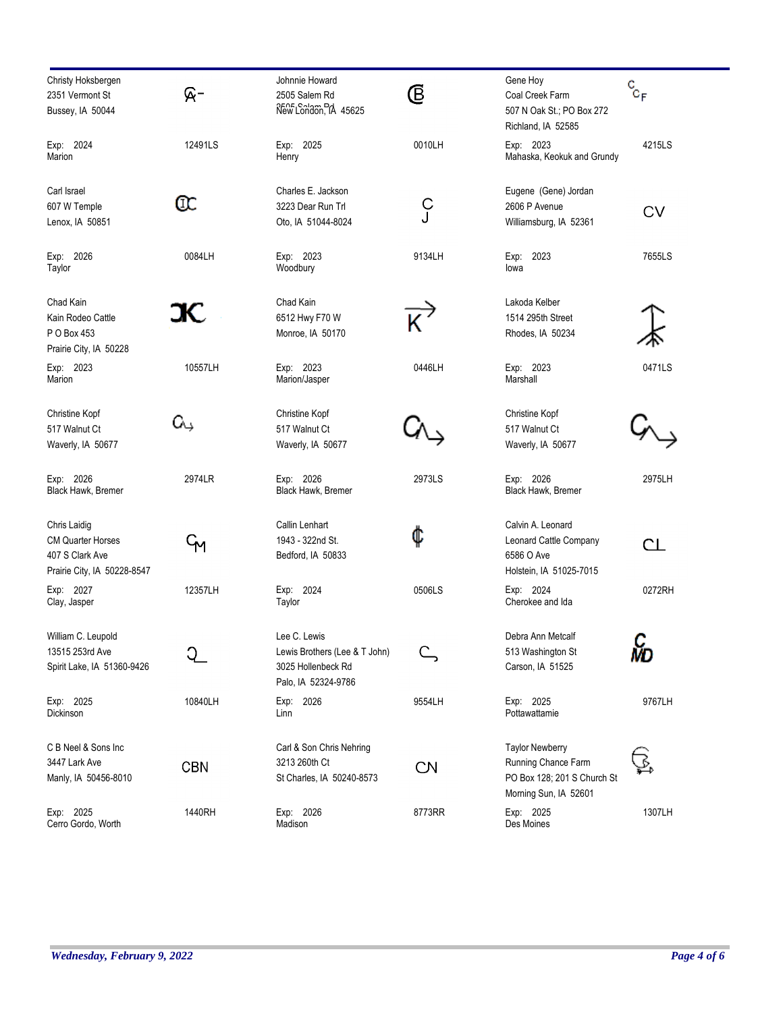| Christy Hoksbergen<br>2351 Vermont St<br>Bussey, IA 50044                                  | ନ-         | Johnnie Howard<br>2505 Salem Rd<br>New London, IA 45625                                    | Ē         | Gene Hoy<br>Coal Creek Farm<br>507 N Oak St.; PO Box 272<br>Richland, IA 52585                        | $\mathrm{c}_{\mathrm{c_F}}$ |
|--------------------------------------------------------------------------------------------|------------|--------------------------------------------------------------------------------------------|-----------|-------------------------------------------------------------------------------------------------------|-----------------------------|
| Exp: 2024<br>Marion                                                                        | 12491LS    | Exp: 2025<br>Henry                                                                         | 0010LH    | Exp: 2023<br>Mahaska, Keokuk and Grundy                                                               | 4215LS                      |
| Carl Israel<br>607 W Temple<br>Lenox, IA 50851                                             | Œ          | Charles E. Jackson<br>3223 Dear Run Trl<br>Oto, IA 51044-8024                              | ှ<br>၂    | Eugene (Gene) Jordan<br>2606 P Avenue<br>Williamsburg, IA 52361                                       | <b>CV</b>                   |
| Exp: 2026<br>Taylor                                                                        | 0084LH     | Exp: 2023<br>Woodbury                                                                      | 9134LH    | Exp: 2023<br>lowa                                                                                     | 7655LS                      |
| Chad Kain<br>Kain Rodeo Cattle<br>P O Box 453<br>Prairie City, IA 50228                    | JС         | Chad Kain<br>6512 Hwy F70 W<br>Monroe, IA 50170                                            |           | Lakoda Kelber<br>1514 295th Street<br>Rhodes, IA 50234                                                |                             |
| Exp: 2023<br>Marion                                                                        | 10557LH    | Exp: 2023<br>Marion/Jasper                                                                 | 0446LH    | Exp: 2023<br>Marshall                                                                                 | 0471LS                      |
| Christine Kopf<br>517 Walnut Ct<br>Waverly, IA 50677                                       | Gς         | Christine Kopf<br>517 Walnut Ct<br>Waverly, IA 50677                                       |           | Christine Kopf<br>517 Walnut Ct<br>Waverly, IA 50677                                                  |                             |
| Exp: 2026<br>Black Hawk, Bremer                                                            | 2974LR     | Exp: 2026<br>Black Hawk, Bremer                                                            | 2973LS    | Exp: 2026<br>Black Hawk, Bremer                                                                       | 2975LH                      |
| Chris Laidig<br><b>CM Quarter Horses</b><br>407 S Clark Ave<br>Prairie City, IA 50228-8547 | ЧM         | Callin Lenhart<br>1943 - 322nd St.<br>Bedford, IA 50833                                    | ¢         | Calvin A. Leonard<br>Leonard Cattle Company<br>6586 O Ave<br>Holstein, IA 51025-7015                  | CL                          |
| Exp: 2027<br>Clay, Jasper                                                                  | 12357LH    | Exp: 2024<br>Taylor                                                                        | 0506LS    | Exp: 2024<br>Cherokee and Ida                                                                         | 0272RH                      |
| William C. Leupold<br>13515 253rd Ave<br>Spirit Lake, IA 51360-9426                        |            | Lee C. Lewis<br>Lewis Brothers (Lee & T John)<br>3025 Hollenbeck Rd<br>Palo, IA 52324-9786 |           | Debra Ann Metcalf<br>513 Washington St<br>Carson, IA 51525                                            | с<br>мо                     |
| Exp: 2025<br>Dickinson                                                                     | 10840LH    | Exp: 2026<br>Linn                                                                          | 9554LH    | Exp: 2025<br>Pottawattamie                                                                            | 9767LH                      |
| C B Neel & Sons Inc<br>3447 Lark Ave<br>Manly, IA 50456-8010                               | <b>CBN</b> | Carl & Son Chris Nehring<br>3213 260th Ct<br>St Charles, IA 50240-8573                     | <b>CN</b> | <b>Taylor Newberry</b><br>Running Chance Farm<br>PO Box 128; 201 S Church St<br>Morning Sun, IA 52601 |                             |
| Exp: 2025<br>Cerro Gordo, Worth                                                            | 1440RH     | Exp: 2026<br>Madison                                                                       | 8773RR    | Exp: 2025<br>Des Moines                                                                               | 1307LH                      |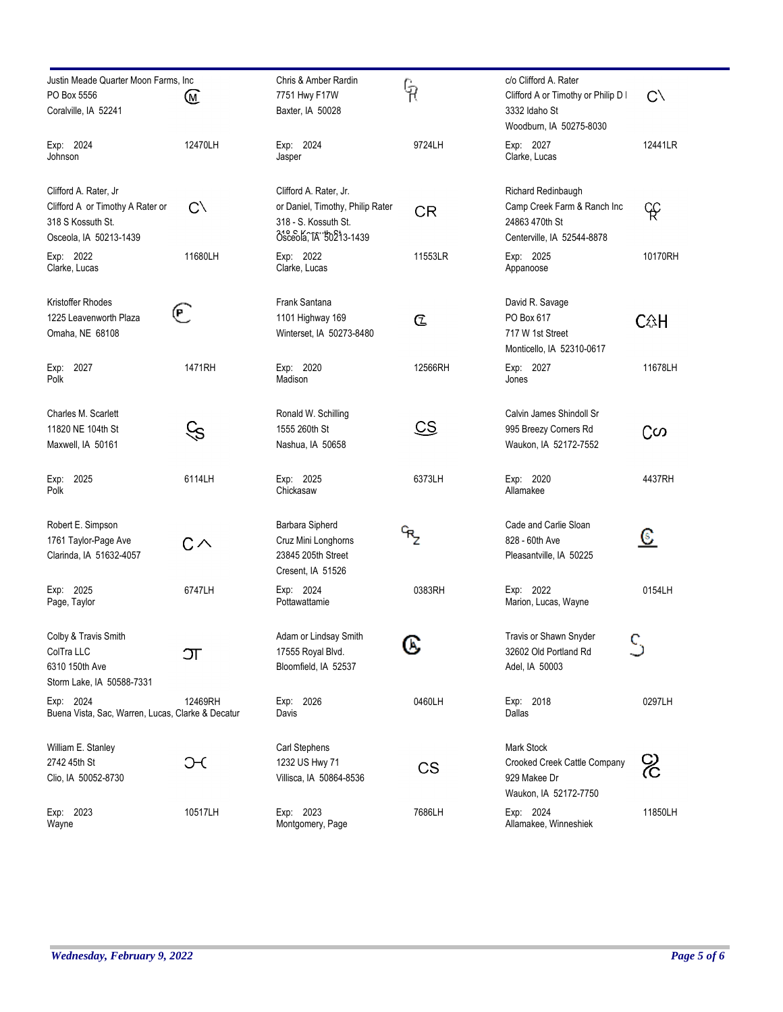| Justin Meade Quarter Moon Farms, Inc.<br>PO Box 5556<br>Coralville, IA 52241                             | W                 | Chris & Amber Rardin<br>7751 Hwy F17W<br>Baxter, IA 50028                                                     | ရှ             | c/o Clifford A. Rater<br>Clifford A or Timothy or Philip D I<br>3332 Idaho St<br>Woodburn, IA 50275-8030 | $C \setminus$           |
|----------------------------------------------------------------------------------------------------------|-------------------|---------------------------------------------------------------------------------------------------------------|----------------|----------------------------------------------------------------------------------------------------------|-------------------------|
| Exp: 2024<br>Johnson                                                                                     | 12470LH           | Exp: 2024<br>Jasper                                                                                           | 9724LH         | Exp: 2027<br>Clarke, Lucas                                                                               | 12441LR                 |
| Clifford A. Rater, Jr<br>Clifford A or Timothy A Rater or<br>318 S Kossuth St.<br>Osceola, IA 50213-1439 | $C \setminus$     | Clifford A. Rater, Jr.<br>or Daniel, Timothy, Philip Rater<br>318 - S. Kossuth St.<br>Osceola, TA '50213-1439 | CR             | Richard Redinbaugh<br>Camp Creek Farm & Ranch Inc<br>24863 470th St<br>Centerville, IA 52544-8878        | F                       |
| Exp: 2022<br>Clarke, Lucas                                                                               | 11680LH           | Exp: 2022<br>Clarke, Lucas                                                                                    | 11553LR        | Exp: 2025<br>Appanoose                                                                                   | 10170RH                 |
| Kristoffer Rhodes<br>1225 Leavenworth Plaza<br>Omaha, NE 68108                                           | $(\mathsf{P}\, )$ | Frank Santana<br>1101 Highway 169<br>Winterset, IA 50273-8480                                                 | $\mathfrak{C}$ | David R. Savage<br>PO Box 617<br>717 W 1st Street<br>Monticello, IA 52310-0617                           | <b>C</b> <sup>2</sup> H |
| Exp: 2027<br>Polk                                                                                        | 1471RH            | Exp: 2020<br>Madison                                                                                          | 12566RH        | Exp: 2027<br>Jones                                                                                       | 11678LH                 |
| Charles M. Scarlett<br>11820 NE 104th St<br>Maxwell, IA 50161                                            | S)                | Ronald W. Schilling<br>1555 260th St<br>Nashua, IA 50658                                                      | CS             | Calvin James Shindoll Sr<br>995 Breezy Corners Rd<br>Waukon, IA 52172-7552                               | ငတ                      |
| Exp: 2025<br>Polk                                                                                        | 6114LH            | Exp: 2025<br>Chickasaw                                                                                        | 6373LH         | Exp: 2020<br>Allamakee                                                                                   | 4437RH                  |
| Robert E. Simpson<br>1761 Taylor-Page Ave<br>Clarinda, IA 51632-4057                                     | $C \wedge$        | Barbara Sipherd<br>Cruz Mini Longhorns<br>23845 205th Street<br>Cresent, IA 51526                             | ᡃᡃŖᢩ           | Cade and Carlie Sloan<br>828 - 60th Ave<br>Pleasantville, IA 50225                                       | <u>ୋ</u>                |
| Exp: 2025<br>Page, Taylor                                                                                | 6747LH            | Exp: 2024<br>Pottawattamie                                                                                    | 0383RH         | Exp: 2022<br>Marion, Lucas, Wayne                                                                        | 0154LH                  |
| Colby & Travis Smith<br>ColTra LLC<br>6310 150th Ave<br>Storm Lake, IA 50588-7331                        | ŒΓ                | Adam or Lindsay Smith<br>17555 Royal Blvd.<br>Bloomfield, IA 52537                                            | ဖ              | Travis or Shawn Snyder<br>32602 Old Portland Rd<br>Adel, IA 50003                                        |                         |
| Exp: 2024<br>Buena Vista, Sac, Warren, Lucas, Clarke & Decatur                                           | 12469RH           | Exp: 2026<br>Davis                                                                                            | 0460LH         | Exp: 2018<br>Dallas                                                                                      | 0297LH                  |
| William E. Stanley<br>2742 45th St<br>Clio, IA 50052-8730                                                | ЭC                | Carl Stephens<br>1232 US Hwy 71<br>Villisca, IA 50864-8536                                                    | CS             | Mark Stock<br>Crooked Creek Cattle Company<br>929 Makee Dr<br>Waukon, IA 52172-7750                      | င်                      |
| Exp: 2023<br>Wayne                                                                                       | 10517LH           | Exp: 2023<br>Montgomery, Page                                                                                 | 7686LH         | Exp: 2024<br>Allamakee, Winneshiek                                                                       | 11850LH                 |